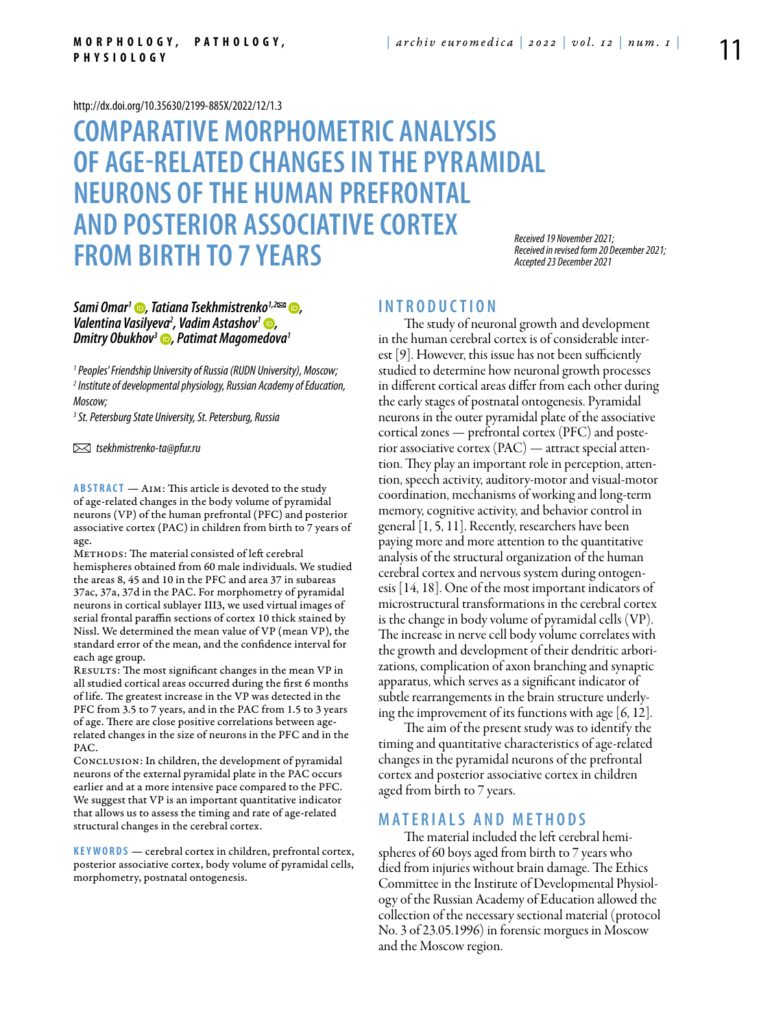#### <http://dx.doi.org/10.35630/2199-885X/2022/12/1.3>

# **Comparative morphometric analysis of age-related changes in the pyramidal neurons of the human prefrontal and posterior associative cortex from birth to 7 years**

*Received 19 November 2021; Received in revised form 20 December 2021; Accepted 23 December 2021*

## *Sami Omar<sup>1</sup> D*, *Tatiana Tsekhmistrenko<sup>1,2</sup><sup>2</sup> (D*, *Valentina Vasilyeva2 , [Vadim Astashov1](https://orcid.org/0000-0003-2846-1944) , Dmitry Obukhov<sup>3</sup>* **D**, Patimat Magomedova<sup>1</sup>

*1 Peoples' Friendship University of Russia (RUDN University), Moscow; 2 Institute of developmental physiology, Russian Academy of Education, Moscow;*

*3 St. Petersburg State University, St. Petersburg, Russia*

 *tsekhmistrenko-ta@pfur.ru* 

**ABSTRACT** — AIM: This article is devoted to the study of age-related changes in the body volume of pyramidal neurons (VP) of the human prefrontal (PFC) and posterior associative cortex (PAC) in children from birth to 7 years of age.

Methods: The material consisted of left cerebral hemispheres obtained from 60 male individuals. We studied the areas 8, 45 and 10 in the PFC and area 37 in subareas 37ac, 37a, 37d in the PAC. For morphometry of pyramidal neurons in cortical sublayer III3, we used virtual images of serial frontal paraffin sections of cortex 10 thick stained by Nissl. We determined the mean value of VP (mean VP), the standard error of the mean, and the confidence interval for each age group.

RESULTS: The most significant changes in the mean VP in all studied cortical areas occurred during the first 6 months of life. The greatest increase in the VP was detected in the PFC from 3.5 to 7 years, and in the PAC from 1.5 to 3 years of age. There are close positive correlations between agerelated changes in the size of neurons in the PFC and in the PAC.

Conclusion: In children, the development of pyramidal neurons of the external pyramidal plate in the PAC occurs earlier and at a more intensive pace compared to the PFC. We suggest that VP is an important quantitative indicator that allows us to assess the timing and rate of age-related structural changes in the cerebral cortex.

KEYWORDS — cerebral cortex in children, prefrontal cortex, posterior associative cortex, body volume of pyramidal cells, morphometry, postnatal ontogenesis.

# **I n t r o d u ct i o n**

The study of neuronal growth and development in the human cerebral cortex is of considerable interest [9]. However, this issue has not been sufficiently studied to determine how neuronal growth processes in different cortical areas differ from each other during the early stages of postnatal ontogenesis. Pyramidal neurons in the outer pyramidal plate of the associative cortical zones — prefrontal cortex (PFC) and posterior associative cortex (PAC) — attract special attention. They play an important role in perception, attention, speech activity, auditory-motor and visual-motor coordination, mechanisms of working and long-term memory, cognitive activity, and behavior control in general [1, 5, 11]. Recently, researchers have been paying more and more attention to the quantitative analysis of the structural organization of the human cerebral cortex and nervous system during ontogenesis [14, 18]. One of the most important indicators of microstructural transformations in the cerebral cortex is the change in body volume of pyramidal cells (VP). The increase in nerve cell body volume correlates with the growth and development of their dendritic arborizations, complication of axon branching and synaptic apparatus, which serves as a significant indicator of subtle rearrangements in the brain structure underlying the improvement of its functions with age [6, 12].

The aim of the present study was to identify the timing and quantitative characteristics of age-related changes in the pyramidal neurons of the prefrontal cortex and posterior associative cortex in children aged from birth to 7 years.

### **MATERIALS AND METHODS**

The material included the left cerebral hemispheres of 60 boys aged from birth to 7 years who died from injuries without brain damage. The Ethics Committee in the Institute of Developmental Physiology of the Russian Academy of Education allowed the collection of the necessary sectional material (protocol No. 3 of 23.05.1996) in forensic morgues in Moscow and the Moscow region.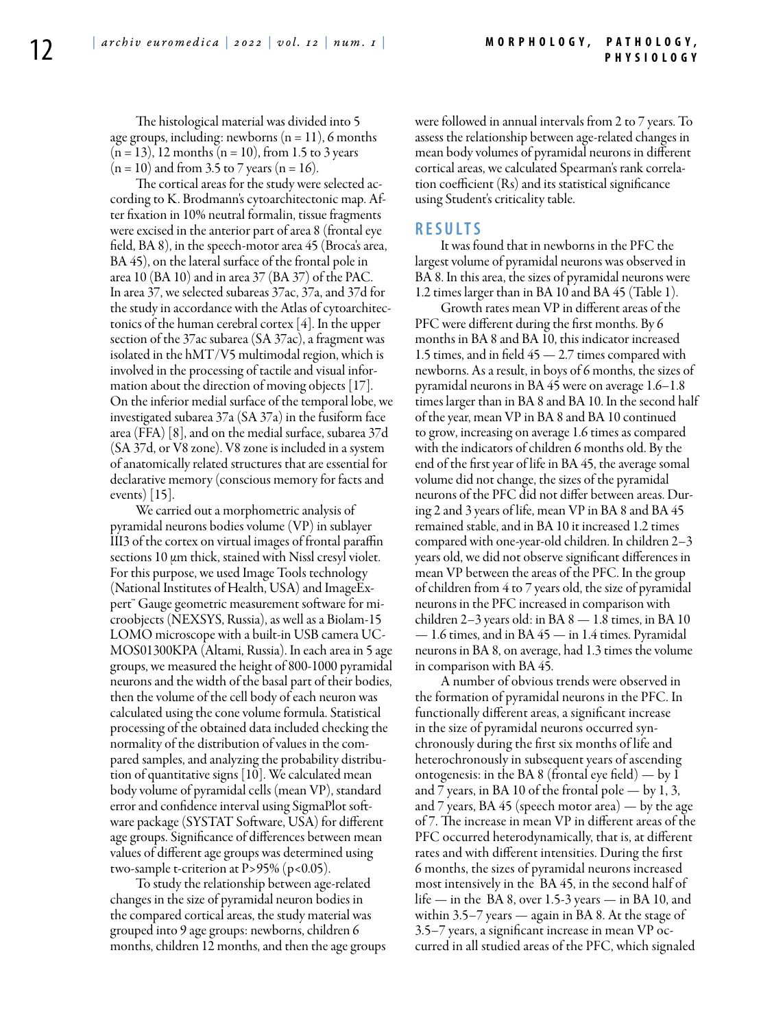The histological material was divided into 5 age groups, including: newborns  $(n = 11)$ , 6 months  $(n = 13)$ , 12 months  $(n = 10)$ , from 1.5 to 3 years  $(n = 10)$  and from 3.5 to 7 years  $(n = 16)$ .

The cortical areas for the study were selected according to K. Brodmann's cytoarchitectonic map. After fixation in 10% neutral formalin, tissue fragments were excised in the anterior part of area 8 (frontal eye field, BA 8), in the speech-motor area 45 (Broca's area, BA 45), on the lateral surface of the frontal pole in area 10 (BA 10) and in area 37 (BA 37) of the PAC. In area 37, we selected subareas 37ac, 37a, and 37d for the study in accordance with the Atlas of cytoarchitectonics of the human cerebral cortex [4]. In the upper section of the 37ac subarea (SA 37ac), a fragment was isolated in the hMT/V5 multimodal region, which is involved in the processing of tactile and visual information about the direction of moving objects [17]. On the inferior medial surface of the temporal lobe, we investigated subarea 37a (SA 37a) in the fusiform face area (FFA) [8], and on the medial surface, subarea 37d (SA 37d, or V8 zone). V8 zone is included in a system of anatomically related structures that are essential for declarative memory (conscious memory for facts and events) [15].

We carried out a morphometric analysis of pyramidal neurons bodies volume (VP) in sublayer III3 of the cortex on virtual images of frontal paraffin sections 10 μm thick, stained with Nissl cresyl violet. For this purpose, we used Image Tools technology (National Institutes of Health, USA) and ImageExpert™ Gauge geometric measurement software for microobjects (NEXSYS, Russia), as well as a Biolam-15 LOMO microscope with a built-in USB camera UC-MOS01300KPA (Altami, Russia). In each area in 5 age groups, we measured the height of 800-1000 pyramidal neurons and the width of the basal part of their bodies, then the volume of the cell body of each neuron was calculated using the cone volume formula. Statistical processing of the obtained data included checking the normality of the distribution of values in the compared samples, and analyzing the probability distribution of quantitative signs [10]. We calculated mean body volume of pyramidal cells (mean VP), standard error and confidence interval using SigmaPlot software package (SYSTAT Software, USA) for different age groups. Significance of differences between mean values of different age groups was determined using two-sample t-criterion at  $P > 95\%$  (p<0.05).

To study the relationship between age-related changes in the size of pyramidal neuron bodies in the compared cortical areas, the study material was grouped into 9 age groups: newborns, children 6 months, children 12 months, and then the age groups were followed in annual intervals from 2 to 7 years. To assess the relationship between age-related changes in mean body volumes of pyramidal neurons in different cortical areas, we calculated Spearman's rank correlation coefficient (Rs) and its statistical significance using Student's criticality table.

#### **RESULTS**

It was found that in newborns in the PFC the largest volume of pyramidal neurons was observed in BA 8. In this area, the sizes of pyramidal neurons were 1.2 times larger than in BA 10 and BA 45 (Table 1).

Growth rates mean VP in different areas of the PFC were different during the first months. By 6 months in BA 8 and BA 10, this indicator increased 1.5 times, and in field 45 — 2.7 times compared with newborns. As a result, in boys of 6 months, the sizes of pyramidal neurons in BA 45 were on average 1.6–1.8 times larger than in BA 8 and BA 10. In the second half of the year, mean VP in BA 8 and BA 10 continued to grow, increasing on average 1.6 times as compared with the indicators of children 6 months old. By the end of the first year of life in BA 45, the average somal volume did not change, the sizes of the pyramidal neurons of the PFC did not differ between areas. During 2 and 3 years of life, mean VP in BA 8 and BA 45 remained stable, and in BA 10 it increased 1.2 times compared with one-year-old children. In children 2–3 years old, we did not observe significant differences in mean VP between the areas of the PFC. In the group of children from 4 to 7 years old, the size of pyramidal neurons in the PFC increased in comparison with children 2–3 years old: in BA  $8 - 1.8$  times, in BA 10  $-1.6$  times, and in BA  $45$  — in 1.4 times. Pyramidal neurons in BA 8, on average, had 1.3 times the volume in comparison with BA 45.

A number of obvious trends were observed in the formation of pyramidal neurons in the PFC. In functionally different areas, a significant increase in the size of pyramidal neurons occurred synchronously during the first six months of life and heterochronously in subsequent years of ascending ontogenesis: in the BA 8 (frontal eye field) — by 1 and 7 years, in BA 10 of the frontal pole  $-$  by 1, 3, and 7 years, BA 45 (speech motor area) — by the age of 7. The increase in mean VP in different areas of the PFC occurred heterodynamically, that is, at different rates and with different intensities. During the first 6 months, the sizes of pyramidal neurons increased most intensively in the BA 45, in the second half of life — in the BA 8, over 1.5-3 years — in BA 10, and within 3.5–7 years — again in BA 8. At the stage of 3.5–7 years, a significant increase in mean VP occurred in all studied areas of the PFC, which signaled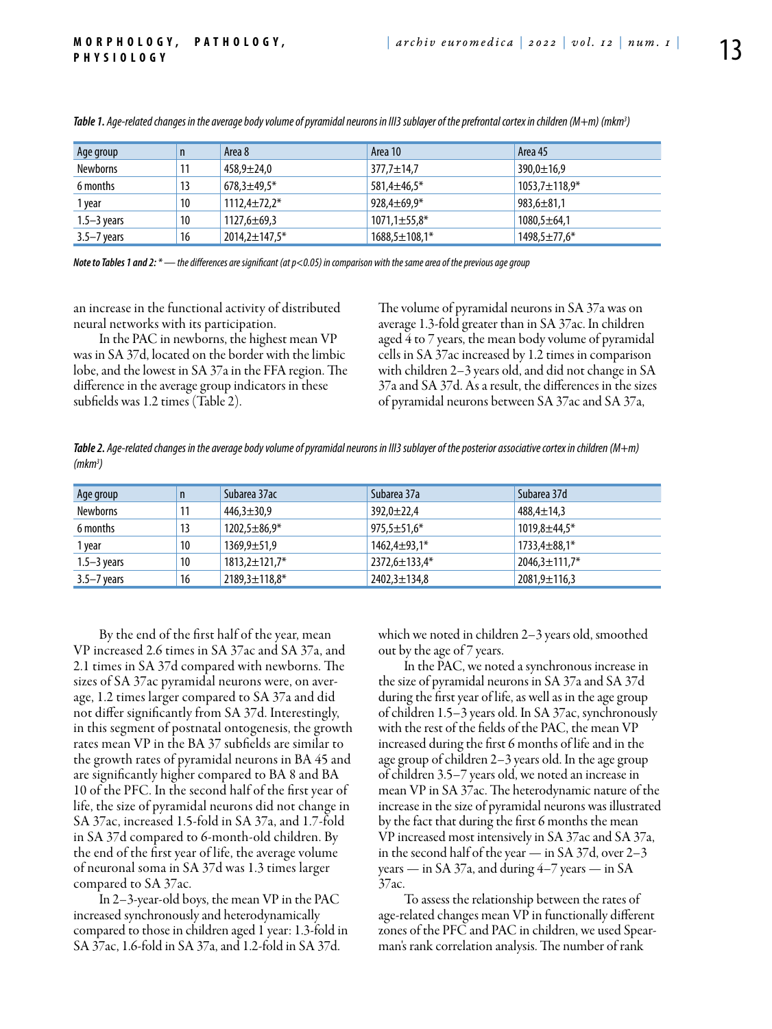| Age group       | n. | Area 8              | Area 10             | Area 45             |
|-----------------|----|---------------------|---------------------|---------------------|
| <b>Newborns</b> | 11 | $458,9 \pm 24,0$    | 377,7±14,7          | $390,0 \pm 16,9$    |
| 6 months        | 13 | $678,3 \pm 49,5*$   | 581,4±46,5*         | $1053.7 \pm 118.9*$ |
| 1 year          | 10 | $1112.4 \pm 72.2*$  | $928.4 \pm 69.9*$   | $983,6 \pm 81,1$    |
| $1.5 - 3$ years | 10 | $1127,6 \pm 69,3$   | $1071,1 \pm 55,8*$  | $1080,5 \pm 64,1$   |
| $3.5 - 7$ years | 16 | $2014,2 \pm 147,5*$ | $1688,5 \pm 108,1*$ | 1498,5±77,6*        |

*Table 1. Age-related changes in the average body volume of pyramidal neurons in III3 sublayer of the prefrontal cortex in children (M+m) (mkm3 )*

*Note to Tables 1 and 2: \* — the differences are significant (at p<0.05) in comparison with the same area of the previous age group*

an increase in the functional activity of distributed neural networks with its participation.

In the PAC in newborns, the highest mean VP was in SA 37d, located on the border with the limbic lobe, and the lowest in SA 37a in the FFA region. The difference in the average group indicators in these subfields was 1.2 times (Table 2).

The volume of pyramidal neurons in SA 37a was on average 1.3-fold greater than in SA 37ac. In children aged 4 to 7 years, the mean body volume of pyramidal cells in SA 37ac increased by 1.2 times in comparison with children 2–3 years old, and did not change in SA 37a and SA 37d. As a result, the differences in the sizes of pyramidal neurons between SA 37ac and SA 37a,

*Table 2. Age-related changes in the average body volume of pyramidal neurons in III3 sublayer of the posterior associative cortex in children (M+m) (mkm3 )*

| Age group       | n  | Subarea 37ac         | Subarea 37a         | Subarea 37d          |
|-----------------|----|----------------------|---------------------|----------------------|
| <b>Newborns</b> | 11 | $446,3 \pm 30,9$     | $392,0 \pm 22,4$    | $488,4 \pm 14,3$     |
| 6 months        | 13 | $1202,5 \pm 86,9*$   | $975,5 \pm 51,6*$   | $1019,8 \pm 44.5*$   |
| 1 year          | 10 | $1369,9 \pm 51,9$    | $1462,4 \pm 93,1*$  | $1733,4 \pm 88,1*$   |
| $1.5 - 3$ years | 10 | $1813,2 \pm 121,7$ * | $2372,6 \pm 133,4*$ | $2046,3 \pm 111,7$ * |
| $3.5 - 7$ years | 16 | $2189,3 \pm 118,8^*$ | $2402,3 \pm 134,8$  | $2081,9 \pm 116,3$   |

By the end of the first half of the year, mean VP increased 2.6 times in SA 37ac and SA 37a, and 2.1 times in SA 37d compared with newborns. The sizes of SA 37ac pyramidal neurons were, on average, 1.2 times larger compared to SA 37a and did not differ significantly from SA 37d. Interestingly, in this segment of postnatal ontogenesis, the growth rates mean VP in the BA 37 subfields are similar to the growth rates of pyramidal neurons in BA 45 and are significantly higher compared to BA 8 and BA 10 of the PFC. In the second half of the first year of life, the size of pyramidal neurons did not change in SA 37ac, increased 1.5-fold in SA 37a, and 1.7-fold in SA 37d compared to 6-month-old children. By the end of the first year of life, the average volume of neuronal soma in SA 37d was 1.3 times larger compared to SA 37ac.

In 2–3-year-old boys, the mean VP in the PAC increased synchronously and heterodynamically compared to those in children aged 1 year: 1.3-fold in SA 37ac, 1.6-fold in SA 37a, and 1.2-fold in SA 37d.

which we noted in children 2–3 years old, smoothed out by the age of 7 years.

In the PAC, we noted a synchronous increase in the size of pyramidal neurons in SA 37a and SA 37d during the first year of life, as well as in the age group of children 1.5–3 years old. In SA 37ac, synchronously with the rest of the fields of the PAC, the mean VP increased during the first 6 months of life and in the age group of children 2–3 years old. In the age group of children 3.5–7 years old, we noted an increase in mean VP in SA 37ac. The heterodynamic nature of the increase in the size of pyramidal neurons was illustrated by the fact that during the first 6 months the mean VP increased most intensively in SA 37ac and SA 37a, in the second half of the year — in SA 37d, over 2–3 years — in SA 37a, and during 4–7 years — in SA 37ac.

To assess the relationship between the rates of age-related changes mean VP in functionally different zones of the PFC and PAC in children, we used Spearman's rank correlation analysis. The number of rank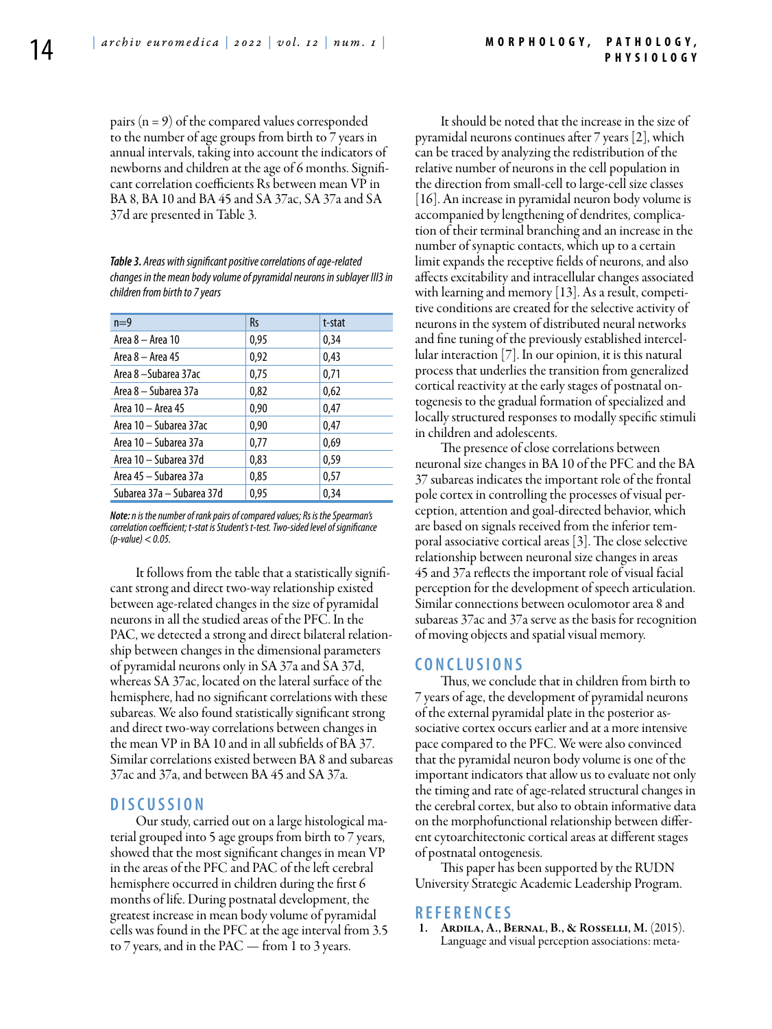pairs  $(n = 9)$  of the compared values corresponded to the number of age groups from birth to 7 years in annual intervals, taking into account the indicators of newborns and children at the age of 6 months. Significant correlation coefficients Rs between mean VP in BA 8, BA 10 and BA 45 and SA 37ac, SA 37a and SA 37d are presented in Table 3.

*Table 3. Areas with significant positive correlations of age-related changes in the mean body volume of pyramidal neurons in sublayer III3 in children from birth to 7 years*

| $n=9$                     | <b>Rs</b> | t-stat |
|---------------------------|-----------|--------|
| Area 8 - Area 10          | 0.95      | 0.34   |
| Area 8 – Area 45          | 0,92      | 0,43   |
| Area 8 - Subarea 37ac     | 0,75      | 0,71   |
| Area 8 – Subarea 37a      | 0,82      | 0,62   |
| Area 10 - Area 45         | 0.90      | 0,47   |
| Area 10 - Subarea 37ac    | 0.90      | 0,47   |
| Area 10 - Subarea 37a     | 0,77      | 0.69   |
| Area 10 - Subarea 37d     | 0.83      | 0.59   |
| Area 45 - Subarea 37a     | 0.85      | 0.57   |
| Subarea 37a - Subarea 37d | 0.95      | 0.34   |

*Note: n is the number of rank pairs of compared values; Rs is the Spearman's correlation coefficient; t-stat is Student's t-test. Two-sided level of significance (p-value) < 0.05.*

It follows from the table that a statistically significant strong and direct two-way relationship existed between age-related changes in the size of pyramidal neurons in all the studied areas of the PFC. In the PAC, we detected a strong and direct bilateral relationship between changes in the dimensional parameters of pyramidal neurons only in SA 37a and SA 37d, whereas SA 37ac, located on the lateral surface of the hemisphere, had no significant correlations with these subareas. We also found statistically significant strong and direct two-way correlations between changes in the mean VP in BA 10 and in all subfields of BA 37. Similar correlations existed between BA 8 and subareas 37ac and 37a, and between BA 45 and SA 37a.

# **DISC USSION**

Our study, carried out on a large histological material grouped into 5 age groups from birth to 7 years, showed that the most significant changes in mean VP in the areas of the PFC and PAC of the left cerebral hemisphere occurred in children during the first 6 months of life. During postnatal development, the greatest increase in mean body volume of pyramidal cells was found in the PFC at the age interval from 3.5 to 7 years, and in the PAC — from 1 to 3 years.

It should be noted that the increase in the size of pyramidal neurons continues after 7 years [2], which can be traced by analyzing the redistribution of the relative number of neurons in the cell population in the direction from small-cell to large-cell size classes  $[16]$ . An increase in pyramidal neuron body volume is accompanied by lengthening of dendrites, complication of their terminal branching and an increase in the number of synaptic contacts, which up to a certain limit expands the receptive fields of neurons, and also affects excitability and intracellular changes associated with learning and memory [13]. As a result, competitive conditions are created for the selective activity of neurons in the system of distributed neural networks and fine tuning of the previously established intercellular interaction [7]. In our opinion, it is this natural process that underlies the transition from generalized cortical reactivity at the early stages of postnatal ontogenesis to the gradual formation of specialized and locally structured responses to modally specific stimuli in children and adolescents.

The presence of close correlations between neuronal size changes in BA 10 of the PFC and the BA 37 subareas indicates the important role of the frontal pole cortex in controlling the processes of visual perception, attention and goal-directed behavior, which are based on signals received from the inferior temporal associative cortical areas [3]. The close selective relationship between neuronal size changes in areas 45 and 37a reflects the important role of visual facial perception for the development of speech articulation. Similar connections between oculomotor area 8 and subareas 37ac and 37a serve as the basis for recognition of moving objects and spatial visual memory.

### **C ON CLUSIONS**

Thus, we conclude that in children from birth to 7 years of age, the development of pyramidal neurons of the external pyramidal plate in the posterior associative cortex occurs earlier and at a more intensive pace compared to the PFC. We were also convinced that the pyramidal neuron body volume is one of the important indicators that allow us to evaluate not only the timing and rate of age-related structural changes in the cerebral cortex, but also to obtain informative data on the morphofunctional relationship between different cytoarchitectonic cortical areas at different stages of postnatal ontogenesis.

This paper has been supported by the RUDN University Strategic Academic Leadership Program.

# **R e f e r e n ce s**

ARDILA, A., BERNAL, B., & ROSSELLI, M. (2015). Language and visual perception associations: meta-